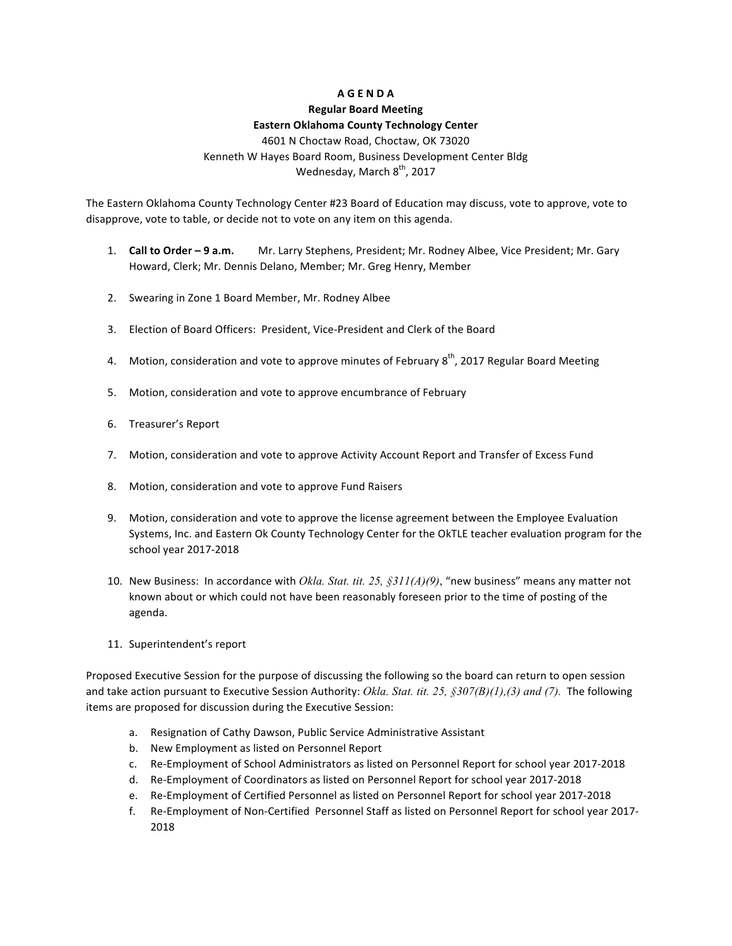# **AGENDA**

## **Regular Board Meeting**

### **Eastern Oklahoma County Technology Center**

4601 N Choctaw Road, Choctaw, OK 73020 Kenneth W Hayes Board Room, Business Development Center Bldg Wednesday, March 8<sup>th</sup>, 2017

The Eastern Oklahoma County Technology Center #23 Board of Education may discuss, vote to approve, vote to disapprove, vote to table, or decide not to vote on any item on this agenda.

- 1. **Call to Order 9 a.m.** Mr. Larry Stephens, President; Mr. Rodney Albee, Vice President; Mr. Gary Howard, Clerk; Mr. Dennis Delano, Member; Mr. Greg Henry, Member
- 2. Swearing in Zone 1 Board Member, Mr. Rodney Albee
- 3. Election of Board Officers: President, Vice-President and Clerk of the Board
- 4. Motion, consideration and vote to approve minutes of February  $8^{th}$ , 2017 Regular Board Meeting
- 5. Motion, consideration and vote to approve encumbrance of February
- 6. Treasurer's Report
- 7. Motion, consideration and vote to approve Activity Account Report and Transfer of Excess Fund
- 8. Motion, consideration and vote to approve Fund Raisers
- 9. Motion, consideration and vote to approve the license agreement between the Employee Evaluation Systems, Inc. and Eastern Ok County Technology Center for the OkTLE teacher evaluation program for the school year 2017-2018
- 10. New Business: In accordance with *Okla. Stat. tit. 25, §311(A)(9)*, "new business" means any matter not known about or which could not have been reasonably foreseen prior to the time of posting of the agenda.
- 11. Superintendent's report

Proposed Executive Session for the purpose of discussing the following so the board can return to open session and take action pursuant to Executive Session Authority: Okla. Stat. tit. 25, §307(B)(1),(3) and (7). The following items are proposed for discussion during the Executive Session:

- a. Resignation of Cathy Dawson, Public Service Administrative Assistant
- b. New Employment as listed on Personnel Report
- c. Re-Employment of School Administrators as listed on Personnel Report for school year 2017-2018
- d. Re-Employment of Coordinators as listed on Personnel Report for school year 2017-2018
- e. Re-Employment of Certified Personnel as listed on Personnel Report for school year 2017-2018
- f. Re-Employment of Non-Certified Personnel Staff as listed on Personnel Report for school year 2017-2018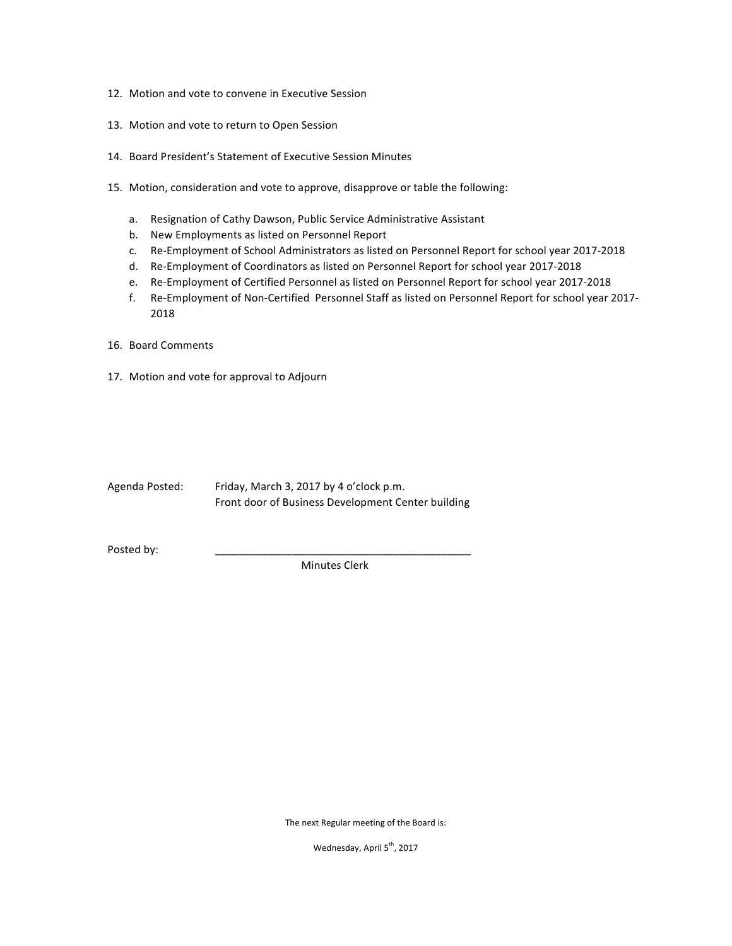- 12. Motion and vote to convene in Executive Session
- 13. Motion and vote to return to Open Session
- 14. Board President's Statement of Executive Session Minutes
- 15. Motion, consideration and vote to approve, disapprove or table the following:
	- a. Resignation of Cathy Dawson, Public Service Administrative Assistant
	- b. New Employments as listed on Personnel Report
	- c. Re-Employment of School Administrators as listed on Personnel Report for school year 2017-2018
	- d. Re-Employment of Coordinators as listed on Personnel Report for school year 2017-2018
	- e. Re-Employment of Certified Personnel as listed on Personnel Report for school year 2017-2018
	- f. Re-Employment of Non-Certified Personnel Staff as listed on Personnel Report for school year 2017-2018
- 16. Board Comments
- 17. Motion and vote for approval to Adjourn

| Agenda Posted: | Friday, March 3, 2017 by 4 o'clock p.m.            |
|----------------|----------------------------------------------------|
|                | Front door of Business Development Center building |

Posted by:

Minutes Clerk

The next Regular meeting of the Board is:

Wednesday, April 5<sup>th</sup>, 2017